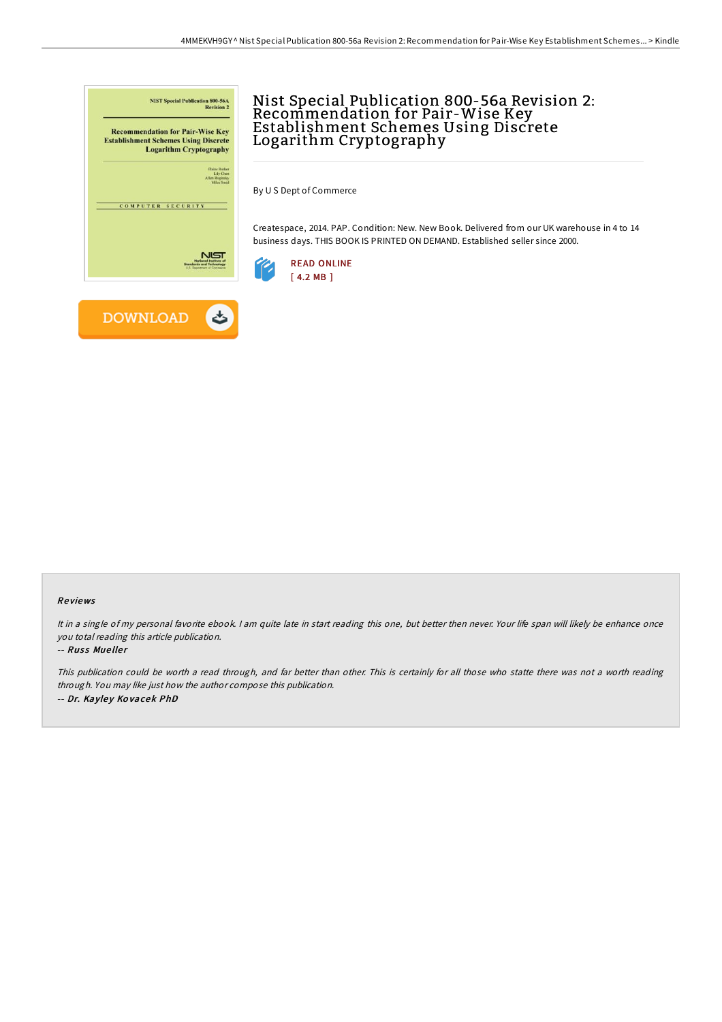

## Nist Special Publication 800-56a Revision 2: Recommendation for Pair-Wise Key Establishment Schemes Using Discrete Logarithm Cryptography

By U S Dept of Commerce

Createspace, 2014. PAP. Condition: New. New Book. Delivered from our UK warehouse in 4 to 14 business days. THIS BOOK IS PRINTED ON DEMAND. Established seller since 2000.





**DOWNLOAD** 

## Re views

It in a single of my personal favorite ebook. I am quite late in start reading this one, but better then never. Your life span will likely be enhance once you total reading this article publication.

## -- Russ Mueller

This publication could be worth <sup>a</sup> read through, and far better than other. This is certainly for all those who statte there was not <sup>a</sup> worth reading through. You may like just how the author compose this publication. -- Dr. Kayley Kovacek PhD